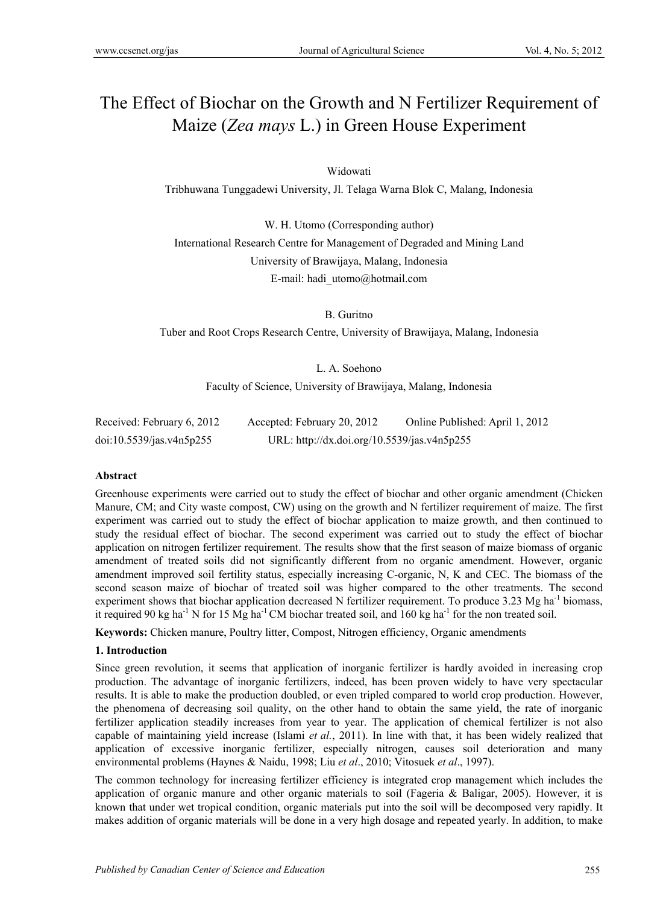# The Effect of Biochar on the Growth and N Fertilizer Requirement of Maize (*Zea mays* L.) in Green House Experiment

# Widowati

Tribhuwana Tunggadewi University, Jl. Telaga Warna Blok C, Malang, Indonesia

W. H. Utomo (Corresponding author) International Research Centre for Management of Degraded and Mining Land University of Brawijaya, Malang, Indonesia E-mail: hadi\_utomo@hotmail.com

B. Guritno

Tuber and Root Crops Research Centre, University of Brawijaya, Malang, Indonesia

L. A. Soehono

Faculty of Science, University of Brawijaya, Malang, Indonesia

| Received: February 6, 2012 | Accepted: February 20, 2012                 | Online Published: April 1, 2012 |
|----------------------------|---------------------------------------------|---------------------------------|
| doi:10.5539/jas.v4n5p255   | URL: http://dx.doi.org/10.5539/jas.v4n5p255 |                                 |

#### **Abstract**

Greenhouse experiments were carried out to study the effect of biochar and other organic amendment (Chicken Manure, CM; and City waste compost, CW) using on the growth and N fertilizer requirement of maize. The first experiment was carried out to study the effect of biochar application to maize growth, and then continued to study the residual effect of biochar. The second experiment was carried out to study the effect of biochar application on nitrogen fertilizer requirement. The results show that the first season of maize biomass of organic amendment of treated soils did not significantly different from no organic amendment. However, organic amendment improved soil fertility status, especially increasing C-organic, N, K and CEC. The biomass of the second season maize of biochar of treated soil was higher compared to the other treatments. The second experiment shows that biochar application decreased N fertilizer requirement. To produce 3.23 Mg ha<sup>-1</sup> biomass, it required 90 kg ha<sup>-1</sup> N for 15 Mg ha<sup>-1</sup> CM biochar treated soil, and  $160$  kg ha<sup>-1</sup> for the non treated soil.

**Keywords:** Chicken manure, Poultry litter, Compost, Nitrogen efficiency, Organic amendments

## **1. Introduction**

Since green revolution, it seems that application of inorganic fertilizer is hardly avoided in increasing crop production. The advantage of inorganic fertilizers, indeed, has been proven widely to have very spectacular results. It is able to make the production doubled, or even tripled compared to world crop production. However, the phenomena of decreasing soil quality, on the other hand to obtain the same yield, the rate of inorganic fertilizer application steadily increases from year to year. The application of chemical fertilizer is not also capable of maintaining yield increase (Islami *et al.*, 2011). In line with that, it has been widely realized that application of excessive inorganic fertilizer, especially nitrogen, causes soil deterioration and many environmental problems (Haynes & Naidu, 1998; Liu *et al*., 2010; Vitosuek *et al*., 1997).

The common technology for increasing fertilizer efficiency is integrated crop management which includes the application of organic manure and other organic materials to soil (Fageria & Baligar, 2005). However, it is known that under wet tropical condition, organic materials put into the soil will be decomposed very rapidly. It makes addition of organic materials will be done in a very high dosage and repeated yearly. In addition, to make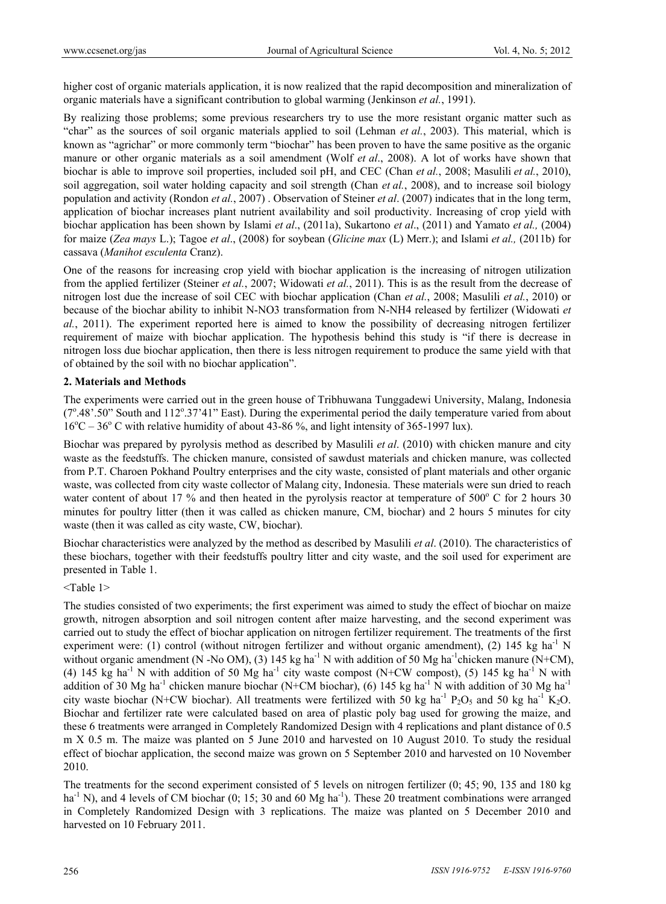higher cost of organic materials application, it is now realized that the rapid decomposition and mineralization of organic materials have a significant contribution to global warming (Jenkinson *et al.*, 1991).

By realizing those problems; some previous researchers try to use the more resistant organic matter such as "char" as the sources of soil organic materials applied to soil (Lehman *et al.*, 2003). This material, which is known as "agrichar" or more commonly term "biochar" has been proven to have the same positive as the organic manure or other organic materials as a soil amendment (Wolf *et al*., 2008). A lot of works have shown that biochar is able to improve soil properties, included soil pH, and CEC (Chan *et al.*, 2008; Masulili *et al.*, 2010), soil aggregation, soil water holding capacity and soil strength (Chan *et al.*, 2008), and to increase soil biology population and activity (Rondon *et al.*, 2007) . Observation of Steiner *et al*. (2007) indicates that in the long term, application of biochar increases plant nutrient availability and soil productivity. Increasing of crop yield with biochar application has been shown by Islami *et al*., (2011a), Sukartono *et al*., (2011) and Yamato *et al.,* (2004) for maize (*Zea mays* L.); Tagoe *et al*., (2008) for soybean (*Glicine max* (L) Merr.); and Islami *et al.,* (2011b) for cassava (*Manihot esculenta* Cranz).

One of the reasons for increasing crop yield with biochar application is the increasing of nitrogen utilization from the applied fertilizer (Steiner *et al.*, 2007; Widowati *et al.*, 2011). This is as the result from the decrease of nitrogen lost due the increase of soil CEC with biochar application (Chan *et al.*, 2008; Masulili *et al.*, 2010) or because of the biochar ability to inhibit N-NO3 transformation from N-NH4 released by fertilizer (Widowati *et al.*, 2011). The experiment reported here is aimed to know the possibility of decreasing nitrogen fertilizer requirement of maize with biochar application. The hypothesis behind this study is "if there is decrease in nitrogen loss due biochar application, then there is less nitrogen requirement to produce the same yield with that of obtained by the soil with no biochar application".

## **2. Materials and Methods**

The experiments were carried out in the green house of Tribhuwana Tunggadewi University, Malang, Indonesia  $(7^{\circ}.48^{\circ}.50^{\circ}$  South and 112° .37'41" East). During the experimental period the daily temperature varied from about  $16^{\circ}$ C – 36<sup>°</sup> C with relative humidity of about 43-86 %, and light intensity of 365-1997 lux).

Biochar was prepared by pyrolysis method as described by Masulili *et al*. (2010) with chicken manure and city waste as the feedstuffs. The chicken manure, consisted of sawdust materials and chicken manure, was collected from P.T. Charoen Pokhand Poultry enterprises and the city waste, consisted of plant materials and other organic waste, was collected from city waste collector of Malang city, Indonesia. These materials were sun dried to reach water content of about 17  $\%$  and then heated in the pyrolysis reactor at temperature of 500 $\degree$  C for 2 hours 30 minutes for poultry litter (then it was called as chicken manure, CM, biochar) and 2 hours 5 minutes for city waste (then it was called as city waste, CW, biochar).

Biochar characteristics were analyzed by the method as described by Masulili *et al*. (2010). The characteristics of these biochars, together with their feedstuffs poultry litter and city waste, and the soil used for experiment are presented in Table 1.

#### <Table 1>

The studies consisted of two experiments; the first experiment was aimed to study the effect of biochar on maize growth, nitrogen absorption and soil nitrogen content after maize harvesting, and the second experiment was carried out to study the effect of biochar application on nitrogen fertilizer requirement. The treatments of the first experiment were: (1) control (without nitrogen fertilizer and without organic amendment), (2) 145 kg ha<sup>-1</sup> N without organic amendment (N -No OM), (3) 145 kg ha<sup>-1</sup> N with addition of 50 Mg ha<sup>-1</sup>chicken manure (N+CM), (4) 145 kg ha<sup>-1</sup> N with addition of 50 Mg ha<sup>-1</sup> city waste compost (N+CW compost), (5) 145 kg ha<sup>-1</sup> N with addition of 30 Mg ha<sup>-1</sup> chicken manure biochar (N+CM biochar), (6) 145 kg ha<sup>-1</sup> N with addition of 30 Mg ha<sup>-1</sup> city waste biochar (N+CW biochar). All treatments were fertilized with 50 kg ha<sup>-1</sup> P<sub>2</sub>O<sub>5</sub> and 50 kg ha<sup>-1</sup> K<sub>2</sub>O. Biochar and fertilizer rate were calculated based on area of plastic poly bag used for growing the maize, and these 6 treatments were arranged in Completely Randomized Design with 4 replications and plant distance of 0.5 m X 0.5 m. The maize was planted on 5 June 2010 and harvested on 10 August 2010. To study the residual effect of biochar application, the second maize was grown on 5 September 2010 and harvested on 10 November 2010.

The treatments for the second experiment consisted of 5 levels on nitrogen fertilizer (0; 45; 90, 135 and 180 kg ha<sup>-1</sup> N), and 4 levels of CM biochar (0; 15; 30 and 60 Mg ha<sup>-1</sup>). These 20 treatment combinations were arranged in Completely Randomized Design with 3 replications. The maize was planted on 5 December 2010 and harvested on 10 February 2011.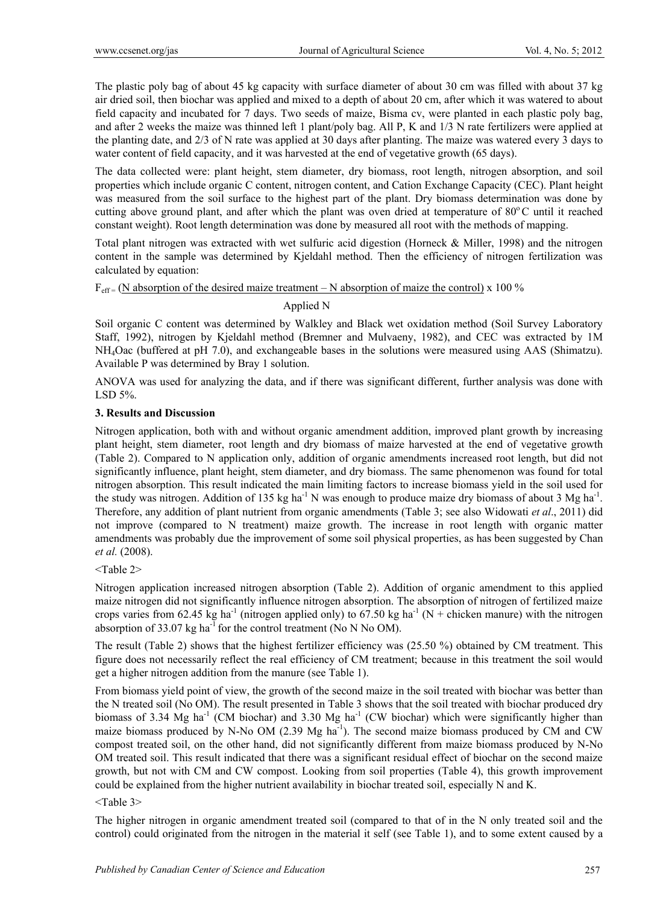The plastic poly bag of about 45 kg capacity with surface diameter of about 30 cm was filled with about 37 kg air dried soil, then biochar was applied and mixed to a depth of about 20 cm, after which it was watered to about field capacity and incubated for 7 days. Two seeds of maize, Bisma cv, were planted in each plastic poly bag, and after 2 weeks the maize was thinned left 1 plant/poly bag. All P, K and 1/3 N rate fertilizers were applied at the planting date, and 2/3 of N rate was applied at 30 days after planting. The maize was watered every 3 days to water content of field capacity, and it was harvested at the end of vegetative growth (65 days).

The data collected were: plant height, stem diameter, dry biomass, root length, nitrogen absorption, and soil properties which include organic C content, nitrogen content, and Cation Exchange Capacity (CEC). Plant height was measured from the soil surface to the highest part of the plant. Dry biomass determination was done by cutting above ground plant, and after which the plant was oven dried at temperature of  $80^{\circ}$ C until it reached constant weight). Root length determination was done by measured all root with the methods of mapping.

Total plant nitrogen was extracted with wet sulfuric acid digestion (Horneck & Miller, 1998) and the nitrogen content in the sample was determined by Kjeldahl method. Then the efficiency of nitrogen fertilization was calculated by equation:

### $F_{\text{eff}} = (N \text{ absorption of the desired maize treatment} - N \text{ absorption of maize the control}) \times 100\%$

# Applied N

Soil organic C content was determined by Walkley and Black wet oxidation method (Soil Survey Laboratory Staff, 1992), nitrogen by Kjeldahl method (Bremner and Mulvaeny, 1982), and CEC was extracted by 1M NH4Oac (buffered at pH 7.0), and exchangeable bases in the solutions were measured using AAS (Shimatzu). Available P was determined by Bray 1 solution.

ANOVA was used for analyzing the data, and if there was significant different, further analysis was done with LSD 5%.

# **3. Results and Discussion**

Nitrogen application, both with and without organic amendment addition, improved plant growth by increasing plant height, stem diameter, root length and dry biomass of maize harvested at the end of vegetative growth (Table 2). Compared to N application only, addition of organic amendments increased root length, but did not significantly influence, plant height, stem diameter, and dry biomass. The same phenomenon was found for total nitrogen absorption. This result indicated the main limiting factors to increase biomass yield in the soil used for the study was nitrogen. Addition of 135 kg ha<sup>-1</sup> N was enough to produce maize dry biomass of about 3 Mg ha<sup>-1</sup>. Therefore, any addition of plant nutrient from organic amendments (Table 3; see also Widowati *et al*., 2011) did not improve (compared to N treatment) maize growth. The increase in root length with organic matter amendments was probably due the improvement of some soil physical properties, as has been suggested by Chan *et al.* (2008).

## <Table 2>

Nitrogen application increased nitrogen absorption (Table 2). Addition of organic amendment to this applied maize nitrogen did not significantly influence nitrogen absorption. The absorption of nitrogen of fertilized maize crops varies from 62.45 kg ha<sup>-1</sup> (nitrogen applied only) to 67.50 kg ha<sup>-1</sup> (N + chicken manure) with the nitrogen absorption of 33.07 kg ha<sup>-1</sup> for the control treatment (No N No OM).

The result (Table 2) shows that the highest fertilizer efficiency was (25.50 %) obtained by CM treatment. This figure does not necessarily reflect the real efficiency of CM treatment; because in this treatment the soil would get a higher nitrogen addition from the manure (see Table 1).

From biomass yield point of view, the growth of the second maize in the soil treated with biochar was better than the N treated soil (No OM). The result presented in Table 3 shows that the soil treated with biochar produced dry biomass of 3.34 Mg ha<sup>-1</sup> (CM biochar) and 3.30 Mg ha<sup>-1</sup> (CW biochar) which were significantly higher than maize biomass produced by N-No OM  $(2.39 \text{ Mg} \text{ ha}^{-1})$ . The second maize biomass produced by CM and CW compost treated soil, on the other hand, did not significantly different from maize biomass produced by N-No OM treated soil. This result indicated that there was a significant residual effect of biochar on the second maize growth, but not with CM and CW compost. Looking from soil properties (Table 4), this growth improvement could be explained from the higher nutrient availability in biochar treated soil, especially N and K.

## <Table 3>

The higher nitrogen in organic amendment treated soil (compared to that of in the N only treated soil and the control) could originated from the nitrogen in the material it self (see Table 1), and to some extent caused by a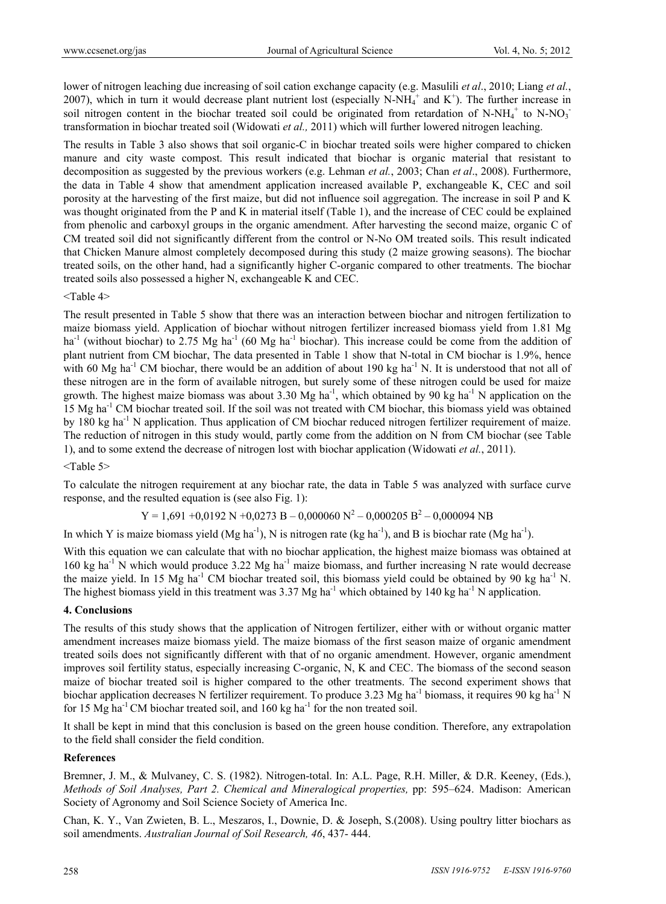lower of nitrogen leaching due increasing of soil cation exchange capacity (e.g. Masulili *et al*., 2010; Liang *et al.*, 2007), which in turn it would decrease plant nutrient lost (especially N-NH $_4^+$  and K<sup>+</sup>). The further increase in soil nitrogen content in the biochar treated soil could be originated from retardation of N-NH<sub>4</sub><sup>+</sup> to N-NO<sub>3</sub><sup>-</sup> transformation in biochar treated soil (Widowati *et al.,* 2011) which will further lowered nitrogen leaching.

The results in Table 3 also shows that soil organic-C in biochar treated soils were higher compared to chicken manure and city waste compost. This result indicated that biochar is organic material that resistant to decomposition as suggested by the previous workers (e.g. Lehman *et al.*, 2003; Chan *et al*., 2008). Furthermore, the data in Table 4 show that amendment application increased available P, exchangeable K, CEC and soil porosity at the harvesting of the first maize, but did not influence soil aggregation. The increase in soil P and K was thought originated from the P and K in material itself (Table 1), and the increase of CEC could be explained from phenolic and carboxyl groups in the organic amendment. After harvesting the second maize, organic C of CM treated soil did not significantly different from the control or N-No OM treated soils. This result indicated that Chicken Manure almost completely decomposed during this study (2 maize growing seasons). The biochar treated soils, on the other hand, had a significantly higher C-organic compared to other treatments. The biochar treated soils also possessed a higher N, exchangeable K and CEC.

<Table 4>

The result presented in Table 5 show that there was an interaction between biochar and nitrogen fertilization to maize biomass yield. Application of biochar without nitrogen fertilizer increased biomass yield from 1.81 Mg ha<sup>-1</sup> (without biochar) to 2.75 Mg ha<sup>-1</sup> (60 Mg ha<sup>-1</sup> biochar). This increase could be come from the addition of plant nutrient from CM biochar, The data presented in Table 1 show that N-total in CM biochar is 1.9%, hence with 60 Mg ha<sup>-1</sup> CM biochar, there would be an addition of about 190 kg ha<sup>-1</sup> N. It is understood that not all of these nitrogen are in the form of available nitrogen, but surely some of these nitrogen could be used for maize growth. The highest maize biomass was about 3.30 Mg ha<sup>-1</sup>, which obtained by 90 kg ha<sup>-1</sup> N application on the 15 Mg ha<sup>-1</sup> CM biochar treated soil. If the soil was not treated with CM biochar, this biomass yield was obtained by 180 kg ha-1 N application. Thus application of CM biochar reduced nitrogen fertilizer requirement of maize. The reduction of nitrogen in this study would, partly come from the addition on N from CM biochar (see Table 1), and to some extend the decrease of nitrogen lost with biochar application (Widowati *et al.*, 2011).

<Table 5>

To calculate the nitrogen requirement at any biochar rate, the data in Table 5 was analyzed with surface curve response, and the resulted equation is (see also Fig. 1):

 $Y = 1,691 + 0,0192 \text{ N} + 0,0273 \text{ B} - 0,000060 \text{ N}^2 - 0,000205 \text{ B}^2 - 0,000094 \text{ NB}$ 

In which Y is maize biomass yield (Mg ha<sup>-1</sup>), N is nitrogen rate (kg ha<sup>-1</sup>), and B is biochar rate (Mg ha<sup>-1</sup>).

With this equation we can calculate that with no biochar application, the highest maize biomass was obtained at 160 kg ha<sup>-1</sup> N which would produce 3.22 Mg ha<sup>-1</sup> maize biomass, and further increasing N rate would decrease the maize yield. In 15 Mg ha<sup>-1</sup> CM biochar treated soil, this biomass yield could be obtained by 90 kg ha<sup>-1</sup> N. The highest biomass yield in this treatment was  $3.37 \text{ Mg}$  ha<sup>-1</sup> which obtained by 140 kg ha<sup>-1</sup> N application.

#### **4. Conclusions**

The results of this study shows that the application of Nitrogen fertilizer, either with or without organic matter amendment increases maize biomass yield. The maize biomass of the first season maize of organic amendment treated soils does not significantly different with that of no organic amendment. However, organic amendment improves soil fertility status, especially increasing C-organic, N, K and CEC. The biomass of the second season maize of biochar treated soil is higher compared to the other treatments. The second experiment shows that biochar application decreases N fertilizer requirement. To produce 3.23 Mg ha<sup>-1</sup> biomass, it requires 90 kg ha<sup>-1</sup> N for 15 Mg ha<sup>-1</sup> CM biochar treated soil, and 160 kg ha<sup>-1</sup> for the non treated soil.

It shall be kept in mind that this conclusion is based on the green house condition. Therefore, any extrapolation to the field shall consider the field condition.

#### **References**

Bremner, J. M., & Mulvaney, C. S. (1982). Nitrogen-total. In: A.L. Page, R.H. Miller, & D.R. Keeney, (Eds.), *Methods of Soil Analyses, Part 2. Chemical and Mineralogical properties,* pp: 595–624. Madison: American Society of Agronomy and Soil Science Society of America Inc.

Chan, K. Y., Van Zwieten, B. L., Meszaros, I., Downie, D. & Joseph, S.(2008). Using poultry litter biochars as soil amendments. *Australian Journal of Soil Research, 46*, 437- 444.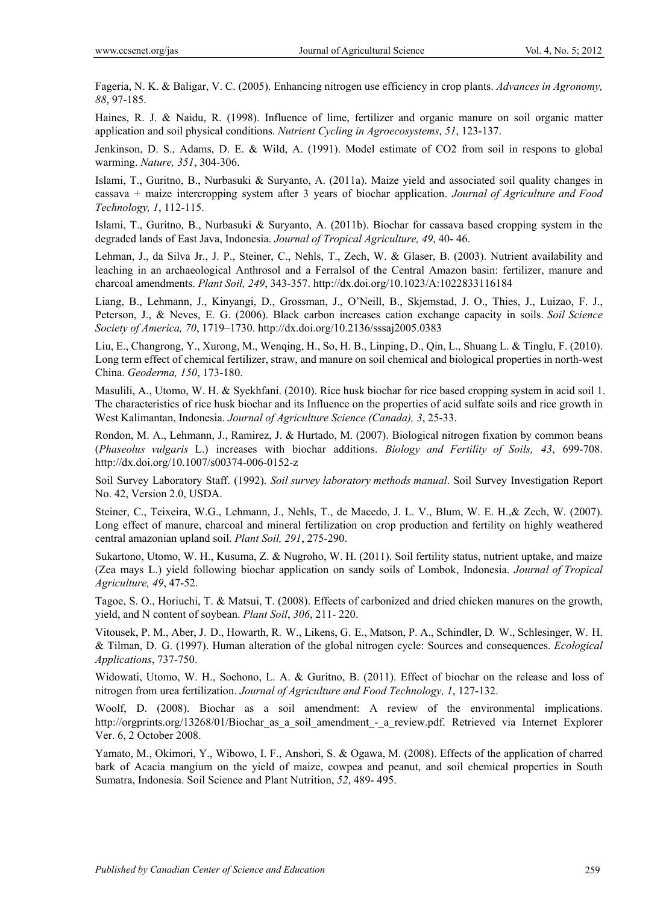Fageria, N. K. & Baligar, V. C. (2005). Enhancing nitrogen use efficiency in crop plants. *Advances in Agronomy, 88*, 97-185.

Haines, R. J. & Naidu, R. (1998). Influence of lime, fertilizer and organic manure on soil organic matter application and soil physical conditions. *Nutrient Cycling in Agroecosystems*, *51*, 123-137.

Jenkinson, D. S., Adams, D. E. & Wild, A. (1991). Model estimate of CO2 from soil in respons to global warming. *Nature, 351*, 304-306.

Islami, T., Guritno, B., Nurbasuki & Suryanto, A. (2011a). Maize yield and associated soil quality changes in cassava + maize intercropping system after 3 years of biochar application. *Journal of Agriculture and Food Technology, 1*, 112-115.

Islami, T., Guritno, B., Nurbasuki & Suryanto, A. (2011b). Biochar for cassava based cropping system in the degraded lands of East Java, Indonesia. *Journal of Tropical Agriculture, 49*, 40- 46.

Lehman, J., da Silva Jr., J. P., Steiner, C., Nehls, T., Zech, W. & Glaser, B. (2003). Nutrient availability and leaching in an archaeological Anthrosol and a Ferralsol of the Central Amazon basin: fertilizer, manure and charcoal amendments. *Plant Soil, 249*, 343-357. http://dx.doi.org/10.1023/A:1022833116184

Liang, B., Lehmann, J., Kinyangi, D., Grossman, J., O'Neill, B., Skjemstad, J. O., Thies, J., Luizao, F. J., Peterson, J., & Neves, E. G. (2006). Black carbon increases cation exchange capacity in soils. *Soil Science Society of America, 70*, 1719–1730. http://dx.doi.org/10.2136/sssaj2005.0383

Liu, E., Changrong, Y., Xurong, M., Wenqing, H., So, H. B., Linping, D., Qin, L., Shuang L. & Tinglu, F. (2010). Long term effect of chemical fertilizer, straw, and manure on soil chemical and biological properties in north-west China. *Geoderma, 150*, 173-180.

Masulili, A., Utomo, W. H. & Syekhfani. (2010). Rice husk biochar for rice based cropping system in acid soil 1. The characteristics of rice husk biochar and its Influence on the properties of acid sulfate soils and rice growth in West Kalimantan, Indonesia. *Journal of Agriculture Science (Canada), 3*, 25-33.

Rondon, M. A., Lehmann, J., Ramirez, J. & Hurtado, M. (2007). Biological nitrogen fixation by common beans (*Phaseolus vulgaris* L.) increases with biochar additions. *Biology and Fertility of Soils, 43*, 699-708. http://dx.doi.org/10.1007/s00374-006-0152-z

Soil Survey Laboratory Staff. (1992). *Soil survey laboratory methods manual*. Soil Survey Investigation Report No. 42, Version 2.0, USDA.

Steiner, C., Teixeira, W.G., Lehmann, J., Nehls, T., de Macedo, J. L. V., Blum, W. E. H.,& Zech, W. (2007). Long effect of manure, charcoal and mineral fertilization on crop production and fertility on highly weathered central amazonian upland soil. *Plant Soil, 291*, 275-290.

Sukartono, Utomo, W. H., Kusuma, Z. & Nugroho, W. H. (2011). Soil fertility status, nutrient uptake, and maize (Zea mays L.) yield following biochar application on sandy soils of Lombok, Indonesia. *Journal of Tropical Agriculture, 49*, 47-52.

Tagoe, S. O., Horiuchi, T. & Matsui, T. (2008). Effects of carbonized and dried chicken manures on the growth, yield, and N content of soybean. *Plant Soil*, *306*, 211- 220.

Vitousek, P. M., Aber, J. D., Howarth, R. W., Likens, G. E., Matson, P. A., Schindler, D. W., Schlesinger, W. H. & Tilman, D. G. (1997). Human alteration of the global nitrogen cycle: Sources and consequences. *Ecological Applications*, 737-750.

Widowati, Utomo, W. H., Soehono, L. A. & Guritno, B. (2011). Effect of biochar on the release and loss of nitrogen from urea fertilization. *Journal of Agriculture and Food Technology, 1*, 127-132.

Woolf, D. (2008). Biochar as a soil amendment: A review of the environmental implications. http://orgprints.org/13268/01/Biochar as a soil amendment - a review.pdf. Retrieved via Internet Explorer Ver. 6, 2 October 2008.

Yamato, M., Okimori, Y., Wibowo, I. F., Anshori, S. & Ogawa, M. (2008). Effects of the application of charred bark of Acacia mangium on the yield of maize, cowpea and peanut, and soil chemical properties in South Sumatra, Indonesia. Soil Science and Plant Nutrition, *52*, 489- 495.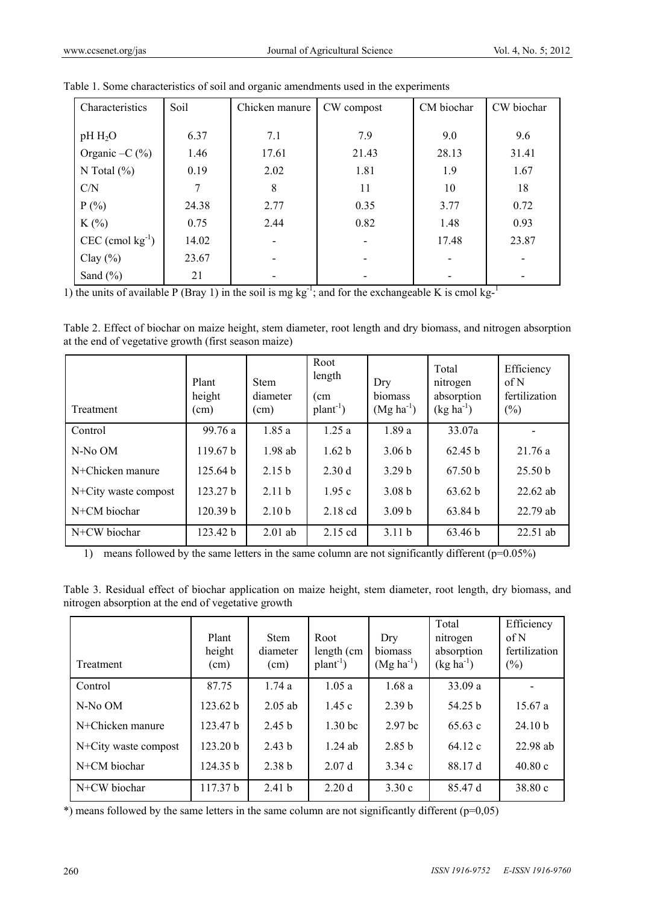| Characteristics                | Soil  | Chicken manure | CW compost | CM biochar | CW biochar |
|--------------------------------|-------|----------------|------------|------------|------------|
|                                |       |                |            |            |            |
| $pH H_2O$                      | 6.37  | 7.1            | 7.9        | 9.0        | 9.6        |
| Organic $-C$ (%)               | 1.46  | 17.61          | 21.43      | 28.13      | 31.41      |
| N Total $(\% )$                | 0.19  | 2.02           | 1.81       | 1.9        | 1.67       |
| C/N                            |       | 8              | 11         | 10         | 18         |
| $P(\% )$                       | 24.38 | 2.77           | 0.35       | 3.77       | 0.72       |
| $K(\%)$                        | 0.75  | 2.44           | 0.82       | 1.48       | 0.93       |
| $CEC$ (cmol kg <sup>-1</sup> ) | 14.02 |                |            | 17.48      | 23.87      |
| Clay $(\% )$                   | 23.67 |                |            |            |            |
| Sand $(\% )$                   | 21    |                |            |            |            |

|  |  |  | Table 1. Some characteristics of soil and organic amendments used in the experiments |
|--|--|--|--------------------------------------------------------------------------------------|
|  |  |  |                                                                                      |

1) the units of available P (Bray 1) in the soil is mg kg<sup>-1</sup>; and for the exchangeable K is cmol kg<sup>-1</sup>

Table 2. Effect of biochar on maize height, stem diameter, root length and dry biomass, and nitrogen absorption at the end of vegetative growth (first season maize)

| Treatment            | Plant<br>height<br>(cm) | <b>Stem</b><br>diameter<br>(cm) | Root<br>length<br>(c <sub>m</sub> )<br>$plan-1$ ) | Dry<br>biomass<br>$(Mg ha^{-1})$ | Total<br>nitrogen<br>absorption<br>$(kg ha^{-1})$ | Efficiency<br>of N<br>fertilization<br>$(\% )$ |
|----------------------|-------------------------|---------------------------------|---------------------------------------------------|----------------------------------|---------------------------------------------------|------------------------------------------------|
| Control              | 99.76 a                 | 1.85a                           | 1.25a                                             | 1.89a                            | 33.07a                                            |                                                |
| N-No OM              | 119.67 b                | $1.98$ ab                       | 1.62 <sub>b</sub>                                 | 3.06 <sub>b</sub>                | 62.45 h                                           | 21.76a                                         |
| N+Chicken manure     | 125.64 <sub>b</sub>     | 2.15 <sub>b</sub>               | 2.30d                                             | 3.29 <sub>b</sub>                | 67.50 <sub>b</sub>                                | 25.50 <sub>b</sub>                             |
| N+City waste compost | 123.27 <sub>b</sub>     | 2.11h                           | 1.95c                                             | 3.08 <sub>b</sub>                | 63.62 h                                           | $22.62$ ab                                     |
| N+CM biochar         | 120.39 b                | 2.10 <sub>b</sub>               | 2.18 cd                                           | 3.09 <sub>b</sub>                | 63.84 b                                           | 22.79 ab                                       |
| N+CW biochar         | 123.42 b                | $2.01$ ab                       | 2.15 cd                                           | 3.11 <sub>b</sub>                | 63.46 <sub>b</sub>                                | 22.51 ab                                       |

1) means followed by the same letters in the same column are not significantly different (p=0.05%)

Table 3. Residual effect of biochar application on maize height, stem diameter, root length, dry biomass, and nitrogen absorption at the end of vegetative growth

| Treatment            | Plant<br>height<br>(cm) | <b>Stem</b><br>diameter<br>(cm) | Root<br>length (cm<br>$plan-1$ ) | Dry<br>biomass<br>$(Mg ha^{-1})$ | Total<br>nitrogen<br>absorption<br>$(kg ha^{-1})$ | Efficiency<br>of N<br>fertilization<br>$(\%)$ |
|----------------------|-------------------------|---------------------------------|----------------------------------|----------------------------------|---------------------------------------------------|-----------------------------------------------|
| Control              | 87.75                   | 1.74a                           | 1.05a                            | 1.68a                            | 33.09 a                                           |                                               |
| N-No OM              | 123.62 <sub>b</sub>     | $2.05$ ab                       | 1.45c                            | 2.39 <sub>b</sub>                | 54.25 b                                           | 15.67a                                        |
| N+Chicken manure     | 123.47 b                | 2.45 <sub>b</sub>               | 1.30 <sub>bc</sub>               | 2.97 <sub>bc</sub>               | 65.63c                                            | 24.10 b                                       |
| N+City waste compost | 123.20 <sub>b</sub>     | 2.43 <sub>b</sub>               | $1.24$ ab                        | 2.85h                            | 64.12c                                            | 22.98 ab                                      |
| N+CM biochar         | 124.35 b                | 2.38 <sub>b</sub>               | 2.07d                            | 3.34c                            | 88.17 d                                           | 40.80c                                        |
| N+CW biochar         | 117.37 b                | 2.41 <sub>b</sub>               | 2.20d                            | 3.30c                            | 85.47 d                                           | 38.80 c                                       |

 $*$ ) means followed by the same letters in the same column are not significantly different ( $p=0,05$ )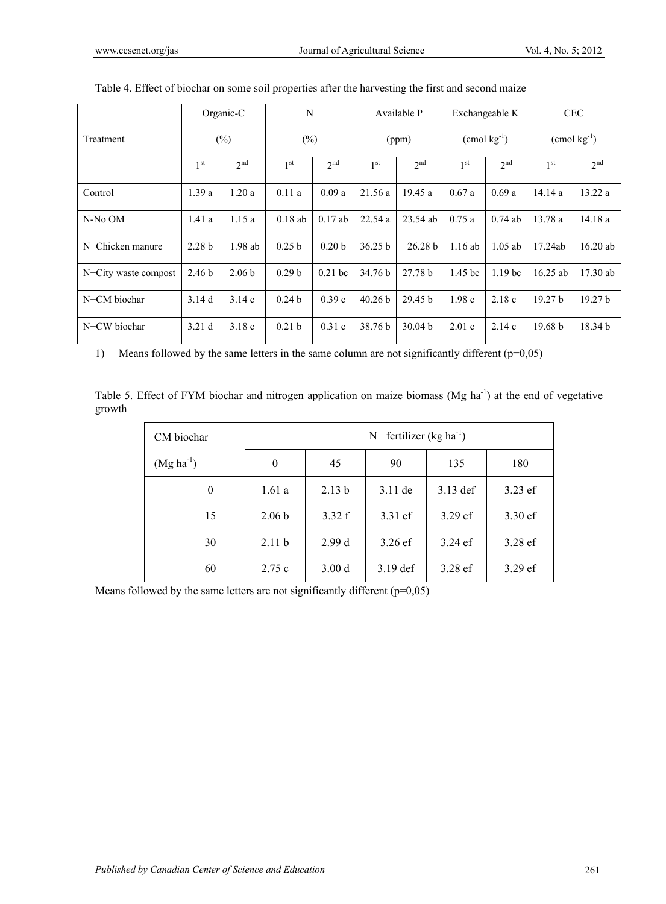|                      |                   | Organic-C         | N                 |                   |                    | Available P        |                    | Exchangeable K           |                    | <b>CEC</b>         |
|----------------------|-------------------|-------------------|-------------------|-------------------|--------------------|--------------------|--------------------|--------------------------|--------------------|--------------------|
| Treatment            |                   | $(\%)$            | $(\%)$            |                   |                    | (ppm)              |                    | $\text{ (cmol kg}^{-1})$ |                    | $\pmod{kg^{-1}}$   |
|                      | 1 <sup>st</sup>   | 2 <sup>nd</sup>   | 1 <sup>st</sup>   | 2 <sup>nd</sup>   | 1 <sup>st</sup>    | 2 <sup>nd</sup>    | 1 <sup>st</sup>    | 2 <sup>nd</sup>          | 1 <sup>st</sup>    | 2 <sup>nd</sup>    |
| Control              | 1.39a             | 1.20a             | 0.11a             | 0.09a             | 21.56a             | 19.45a             | 0.67a              | 0.69a                    | 14.14a             | 13.22 a            |
| N-No OM              | 1.41a             | 1.15a             | $0.18$ ab         | $0.17$ ab         | 22.54a             | 23.54 ab           | 0.75a              | $0.74$ ab                | 13.78a             | 14.18a             |
| N+Chicken manure     | 2.28 <sub>b</sub> | $1.98$ ab         | 0.25 <sub>b</sub> | 0.20 <sub>b</sub> | 36.25 b            | 26.28 b            | $1.16$ ab          | $1.05$ ab                | 17.24ab            | 16.20ab            |
| N+City waste compost | 2.46 <sub>b</sub> | 2.06 <sub>b</sub> | 0.29 <sub>b</sub> | $0.21$ bc         | 34.76 b            | 27.78 <sub>b</sub> | 1.45 <sub>bc</sub> | 1.19 <sub>bc</sub>       | $16.25$ ab         | $17.30$ ab         |
| N+CM biochar         | 3.14d             | 3.14c             | 0.24 <sub>b</sub> | 0.39c             | 40.26 b            | 29.45 <sub>b</sub> | 1.98c              | 2.18c                    | 19.27 <sub>b</sub> | 19.27 <sub>b</sub> |
| N+CW biochar         | 3.21 <sub>d</sub> | 3.18c             | 0.21 <sub>b</sub> | 0.31c             | 38.76 <sub>b</sub> | 30.04 <sub>b</sub> | 2.01c              | 2.14c                    | 19.68 b            | 18.34 b            |

| Table 4. Effect of biochar on some soil properties after the harvesting the first and second maize |  |  |
|----------------------------------------------------------------------------------------------------|--|--|
|                                                                                                    |  |  |

1) Means followed by the same letters in the same column are not significantly different (p=0,05)

Table 5. Effect of FYM biochar and nitrogen application on maize biomass (Mg ha<sup>-1</sup>) at the end of vegetative growth

| CM biochar     | N fertilizer $(kg ha^{-1})$ |                   |            |            |           |  |  |  |
|----------------|-----------------------------|-------------------|------------|------------|-----------|--|--|--|
| $(Mg ha^{-1})$ | 45<br>90<br>135<br>$\theta$ |                   |            |            |           |  |  |  |
| $\theta$       | 1.61a                       | 2.13 <sub>b</sub> | $3.11$ de  | $3.13$ def | 3.23 ef   |  |  |  |
| 15             | 2.06 <sub>b</sub>           | 3.32 f            | 3.31 ef    | $3.29$ ef  | 3.30 ef   |  |  |  |
| 30             | 2.11 <sub>b</sub>           | 2.99d             | 3.26 ef    | 3.24 ef    | 3.28 ef   |  |  |  |
| 60             | 2.75c                       | 3.00 d            | $3.19$ def | 3.28 ef    | $3.29$ ef |  |  |  |

Means followed by the same letters are not significantly different  $(p=0,05)$